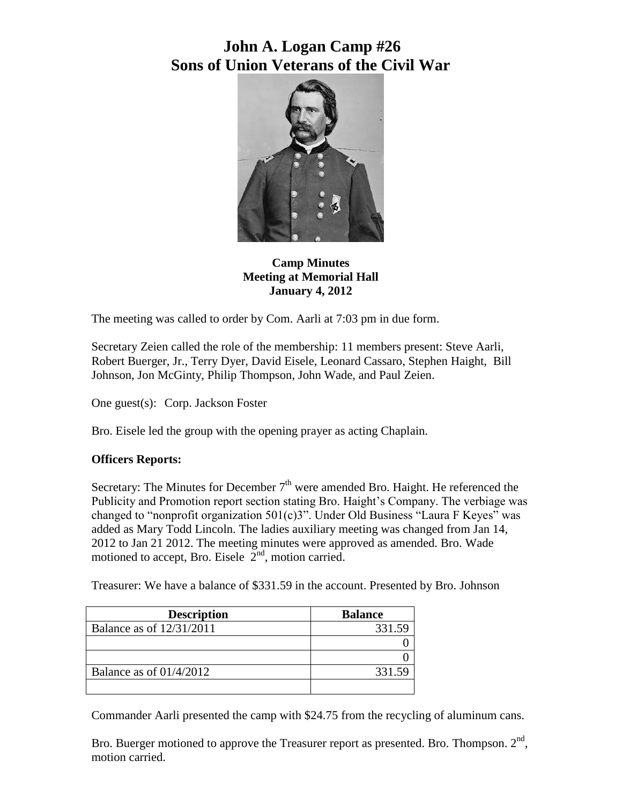# **John A. Logan Camp #26 Sons of Union Veterans of the Civil War**



**Camp Minutes Meeting at Memorial Hall January 4, 2012**

The meeting was called to order by Com. Aarli at 7:03 pm in due form.

Secretary Zeien called the role of the membership: 11 members present: Steve Aarli, Robert Buerger, Jr., Terry Dyer, David Eisele, Leonard Cassaro, Stephen Haight, Bill Johnson, Jon McGinty, Philip Thompson, John Wade, and Paul Zeien.

One guest(s): Corp. Jackson Foster

Bro. Eisele led the group with the opening prayer as acting Chaplain.

### **Officers Reports:**

Secretary: The Minutes for December  $7<sup>th</sup>$  were amended Bro. Haight. He referenced the Publicity and Promotion report section stating Bro. Haight's Company. The verbiage was changed to "nonprofit organization 501(c)3". Under Old Business "Laura F Keyes" was added as Mary Todd Lincoln. The ladies auxiliary meeting was changed from Jan 14, 2012 to Jan 21 2012. The meeting minutes were approved as amended. Bro. Wade motioned to accept, Bro. Eisele  $2<sup>nd</sup>$ , motion carried.

Treasurer: We have a balance of \$331.59 in the account. Presented by Bro. Johnson

| <b>Description</b>        | <b>Balance</b> |
|---------------------------|----------------|
| Balance as of 12/31/2011  | 331.59         |
|                           |                |
|                           |                |
| Balance as of $01/4/2012$ | 331.59         |
|                           |                |

Commander Aarli presented the camp with \$24.75 from the recycling of aluminum cans.

Bro. Buerger motioned to approve the Treasurer report as presented. Bro. Thompson.  $2<sup>nd</sup>$ , motion carried.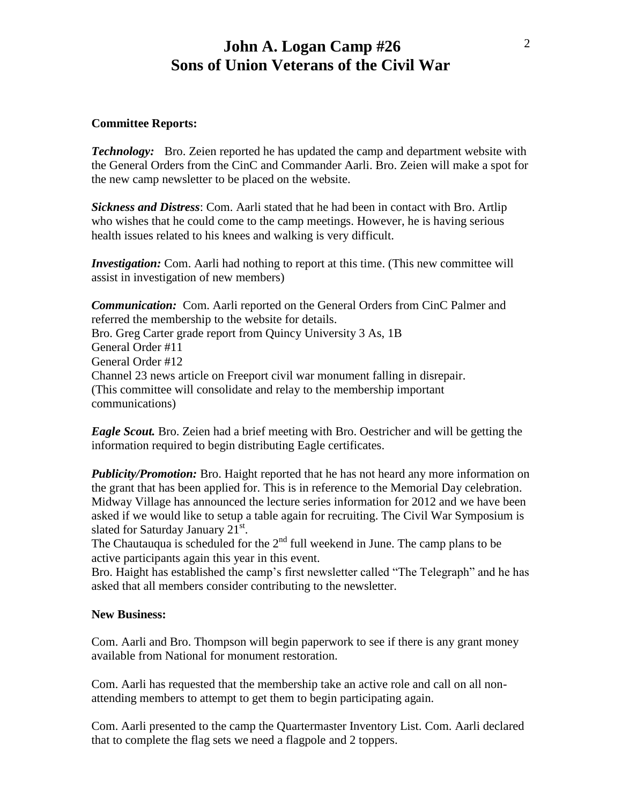### **John A. Logan Camp #26 Sons of Union Veterans of the Civil War**

#### **Committee Reports:**

*Technology:* Bro. Zeien reported he has updated the camp and department website with the General Orders from the CinC and Commander Aarli. Bro. Zeien will make a spot for the new camp newsletter to be placed on the website.

*Sickness and Distress*: Com. Aarli stated that he had been in contact with Bro. Artlip who wishes that he could come to the camp meetings. However, he is having serious health issues related to his knees and walking is very difficult.

*Investigation:* Com. Aarli had nothing to report at this time. (This new committee will assist in investigation of new members)

*Communication:* Com. Aarli reported on the General Orders from CinC Palmer and referred the membership to the website for details. Bro. Greg Carter grade report from Quincy University 3 As, 1B General Order #11 General Order #12 Channel 23 news article on Freeport civil war monument falling in disrepair. (This committee will consolidate and relay to the membership important communications)

*Eagle Scout.* Bro. Zeien had a brief meeting with Bro. Oestricher and will be getting the information required to begin distributing Eagle certificates.

*Publicity/Promotion:* Bro. Haight reported that he has not heard any more information on the grant that has been applied for. This is in reference to the Memorial Day celebration. Midway Village has announced the lecture series information for 2012 and we have been asked if we would like to setup a table again for recruiting. The Civil War Symposium is slated for Saturday January  $21^{st}$ .

The Chautauqua is scheduled for the  $2<sup>nd</sup>$  full weekend in June. The camp plans to be active participants again this year in this event.

Bro. Haight has established the camp's first newsletter called "The Telegraph" and he has asked that all members consider contributing to the newsletter.

#### **New Business:**

Com. Aarli and Bro. Thompson will begin paperwork to see if there is any grant money available from National for monument restoration.

Com. Aarli has requested that the membership take an active role and call on all nonattending members to attempt to get them to begin participating again.

Com. Aarli presented to the camp the Quartermaster Inventory List. Com. Aarli declared that to complete the flag sets we need a flagpole and 2 toppers.